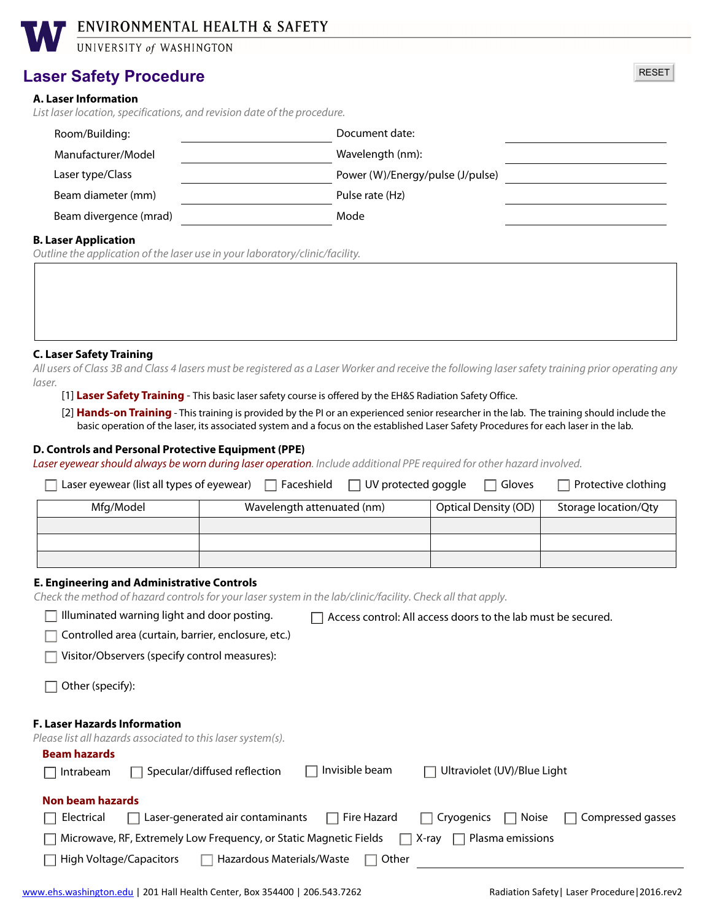# ENVIRONMENTAL HEALTH & SAFETY

UNIVERSITY of WASHINGTON

## **Laser Safety Procedure**

### **A. Laser Information**

*List laser location, specifications, and revision date of the procedure.*

| Room/Building:         | Document date:                   |  |
|------------------------|----------------------------------|--|
| Manufacturer/Model     | Wavelength (nm):                 |  |
| Laser type/Class       | Power (W)/Energy/pulse (J/pulse) |  |
| Beam diameter (mm)     | Pulse rate (Hz)                  |  |
| Beam divergence (mrad) | Mode                             |  |
|                        |                                  |  |

RESET

#### **B. Laser Application**

*Outline the application of the laser use in your laboratory/clinic/facility.*

**C. Laser Safety Training** 

*All users of Class 3B and Class 4 lasers must be registered as a Laser Worker and receive the following laser safety training prior operating any laser.*

[1] **Laser Safety Training** - This basic laser safety course is offered by the EH&S Radiation Safety Office.

[2] **Hands-on Training** - This training is provided by the PI or an experienced senior researcher in the lab. The training should include the basic operation of the laser, its associated system and a focus on the established Laser Safety Procedures for each laser in the lab.

#### **D. Controls and Personal Protective Equipment (PPE)**

*Laser eyewear should always be worn during laser operation. Include additional PPE required for other hazard involved.* 

| Laser eyewear (list all types of eyewear) | $\Box$ Faceshield<br>$\Box$ UV protected goggle | Gloves                      | Protective clothing  |
|-------------------------------------------|-------------------------------------------------|-----------------------------|----------------------|
| Mfg/Model                                 | Wavelength attenuated (nm)                      | <b>Optical Density (OD)</b> | Storage location/Qty |
|                                           |                                                 |                             |                      |
|                                           |                                                 |                             |                      |
|                                           |                                                 |                             |                      |

### **E. Engineering and Administrative Controls**

*Check the method of hazard controls for your laser system in the lab/clinic/facility. Check all that apply.*

| with the companies with the companies with the companies of the continuation of within the companies with the companies of the companies of the companies of the companies of the companies of the companies of the companies |                                                              |                             |                                                |
|-------------------------------------------------------------------------------------------------------------------------------------------------------------------------------------------------------------------------------|--------------------------------------------------------------|-----------------------------|------------------------------------------------|
| Illuminated warning light and door posting.                                                                                                                                                                                   | Access control: All access doors to the lab must be secured. |                             |                                                |
| Controlled area (curtain, barrier, enclosure, etc.)                                                                                                                                                                           |                                                              |                             |                                                |
| Visitor/Observers (specify control measures):                                                                                                                                                                                 |                                                              |                             |                                                |
| Other (specify):                                                                                                                                                                                                              |                                                              |                             |                                                |
| <b>F. Laser Hazards Information</b><br>Please list all hazards associated to this laser system(s).                                                                                                                            |                                                              |                             |                                                |
| <b>Beam hazards</b>                                                                                                                                                                                                           |                                                              |                             |                                                |
| Specular/diffused reflection<br>Intrabeam                                                                                                                                                                                     | Invisible beam                                               | Ultraviolet (UV)/Blue Light |                                                |
| Non beam hazards                                                                                                                                                                                                              |                                                              |                             |                                                |
| Laser-generated air contaminants<br>Electrical                                                                                                                                                                                | $\Box$ Fire Hazard                                           | <b>Noise</b><br>Cryogenics  | Compressed gasses                              |
| Microwave, RF, Extremely Low Frequency, or Static Magnetic Fields                                                                                                                                                             | I.                                                           | Plasma emissions<br>X-ray   |                                                |
| <b>High Voltage/Capacitors</b><br>Hazardous Materials/Waste                                                                                                                                                                   | Other<br>$\mathbf{I}$                                        |                             |                                                |
| www.ehs.washington.edu   201 Hall Health Center, Box 354400   206.543.7262                                                                                                                                                    |                                                              |                             | Radiation Safety   Laser Procedure   2016.rev2 |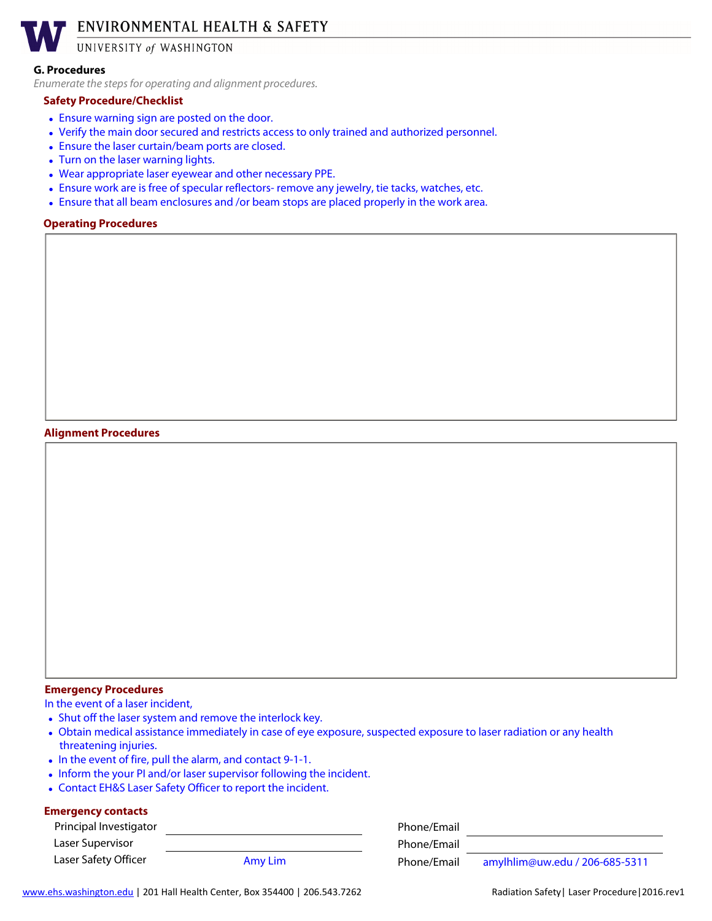ENVIRONMENTAL HEALTH & SAFETY

UNIVERSITY of WASHINGTON

#### **G. Procedures**

*Enumerate the steps for operating and alignment procedures.*

#### **Safety Procedure/Checklist**

- Ensure warning sign are posted on the door.
- Verify the main door secured and restricts access to only trained and authorized personnel.
- Ensure the laser curtain/beam ports are closed.
- Turn on the laser warning lights.
- Wear appropriate laser eyewear and other necessary PPE.
- Ensure work are is free of specular reflectors- remove any jewelry, tie tacks, watches, etc.
- Ensure that all beam enclosures and /or beam stops are placed properly in the work area.

#### **Operating Procedures**

#### **Alignment Procedures**

### **Emergency Procedures**

In the event of a laser incident,

- Shut off the laser system and remove the interlock key.
- Obtain medical assistance immediately in case of eye exposure, suspected exposure to laser radiation or any health threatening injuries.
- In the event of fire, pull the alarm, and contact 9-1-1.
- Inform the your PI and/or laser supervisor following the incident.
- Contact EH&S Laser Safety Officer to report the incident.

#### **Emergency contacts**

| Principal Investigator |         | Phone/Email |                                |
|------------------------|---------|-------------|--------------------------------|
| Laser Supervisor       |         | Phone/Email |                                |
| Laser Safety Officer   | Amy Lim | Phone/Email | amylhlim@uw.edu / 206-685-5311 |